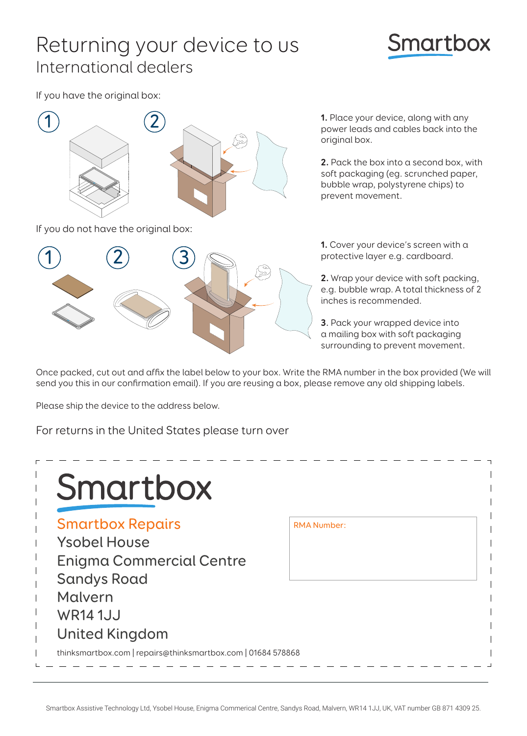## Returning your device to us International dealers

## **Smartbox**

If you have the original box:



If you do not have the original box:



**1.** Place your device, along with any power leads and cables back into the original box.

**2.** Pack the box into a second box, with soft packaging (eg. scrunched paper, bubble wrap, polystyrene chips) to prevent movement.

**1.** Cover your device's screen with a protective layer e.g. cardboard.

**2.** Wrap your device with soft packing, e.g. bubble wrap. A total thickness of 2 inches is recommended.

**3**. Pack your wrapped device into a mailing box with soft packaging surrounding to prevent movement.

Once packed, cut out and affix the label below to your box. Write the RMA number in the box provided (We will send you this in our confirmation email). If you are reusing a box, please remove any old shipping labels.

Please ship the device to the address below.

For returns in the United States please turn over

| <b>Smartbox Repairs</b>         | <b>RMA Number:</b> |  |
|---------------------------------|--------------------|--|
| <b>Ysobel House</b>             |                    |  |
| <b>Enigma Commercial Centre</b> |                    |  |
| <b>Sandys Road</b>              |                    |  |
| Malvern                         |                    |  |
| <b>WR14 1JJ</b>                 |                    |  |